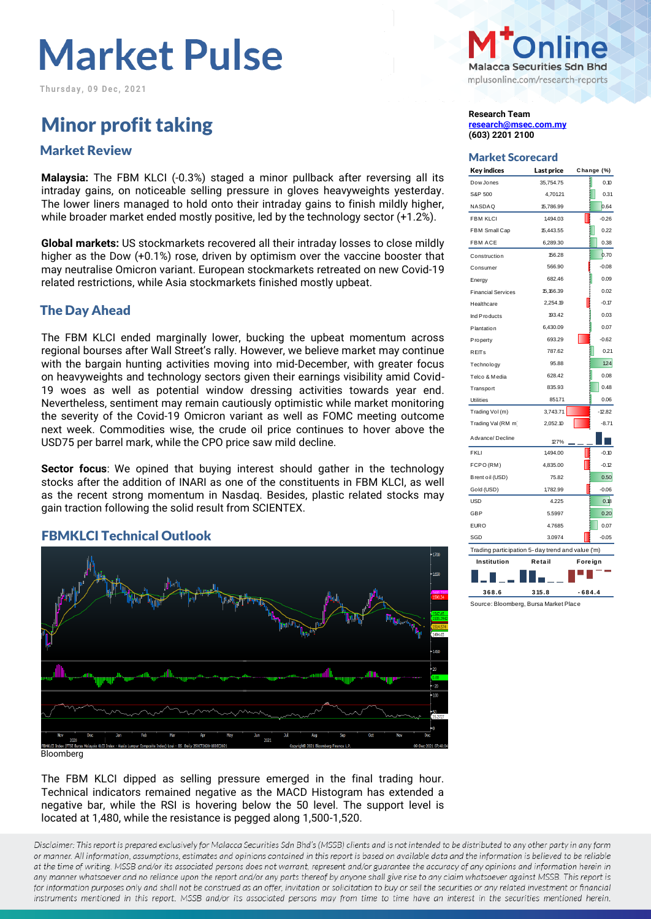**T h u r s d a y , 0 9 D e c , 2 0 2 1**

## **Minor profit taking Research Team**<br> **Research Team**<br>
<u>Research @msec</u>

## Market Scorecard Market Review

**Malaysia:** The FBM KLCI (-0.3%) staged a minor pullback after reversing all its intraday gains, on noticeable selling pressure in gloves heavyweights yesterday. The lower liners managed to hold onto their intraday gains to finish mildly higher, while broader market ended mostly positive, led by the technology sector (+1.2%).

**Global markets:** US stockmarkets recovered all their intraday losses to close mildly higher as the Dow (+0.1%) rose, driven by optimism over the vaccine booster that may neutralise Omicron variant. European stockmarkets retreated on new Covid-19 related restrictions, while Asia stockmarkets finished mostly upbeat.

#### The Day Ahead

The FBM KLCI ended marginally lower, bucking the upbeat momentum across regional bourses after Wall Street's rally. However, we believe market may continue with the bargain hunting activities moving into mid-December, with greater focus on heavyweights and technology sectors given their earnings visibility amid Covid-19 woes as well as potential window dressing activities towards year end. Nevertheless, sentiment may remain cautiously optimistic while market monitoring the severity of the Covid-19 Omicron variant as well as FOMC meeting outcome next week. Commodities wise, the crude oil price continues to hover above the USD75 per barrel mark, while the CPO price saw mild decline.

**Sector focus**: We opined that buying interest should gather in the technology stocks after the addition of INARI as one of the constituents in FBM KLCI, as well as the recent strong momentum in Nasdaq. Besides, plastic related stocks may gain traction following the solid result from SCIENTEX.

#### FBMKLCI Technical Outlook



The FBM KLCI dipped as selling pressure emerged in the final trading hour. Technical indicators remained negative as the MACD Histogram has extended a negative bar, while the RSI is hovering below the 50 level. The support level is located at 1,480, while the resistance is pegged along 1,500-1,520.

Disclaimer: This report is prepared exclusively for Malacca Securities Sdn Bhd's (MSSB) clients and is not intended to be distributed to any other party in any form or manner. All information, assumptions, estimates and opinions contained in this report is based on available data and the information is believed to be reliable at the time of writing. MSSB and/or its associated persons does not warrant, represent and/or guarantee the accuracy of any opinions and information herein in any manner whatsoever and no reliance upon the report and/or any parts thereof by anyone shall give rise to any claim whatsoever against MSSB. This report is for information purposes only and shall not be construed as an offer, invitation or solicitation to buy or sell the securities or any related investment or financial instruments mentioned in this report. MSSB and/or its associated persons may from time to time have an interest in the securities mentioned herein.



**[research@msec.com.my](mailto:research@msec.com.my) (603) 2201 2100**

| Key indices                                      | Last price | Change (%)   |  |  |  |  |  |  |
|--------------------------------------------------|------------|--------------|--|--|--|--|--|--|
| Dow Jones                                        | 35,754.75  | 0.10         |  |  |  |  |  |  |
| S&P 500                                          | 4,701.21   | 0.31         |  |  |  |  |  |  |
| NASDAQ                                           | 15.786.99  | 0.64         |  |  |  |  |  |  |
| <b>FBM KLCI</b>                                  | 1,494.03   | ļ<br>$-0.26$ |  |  |  |  |  |  |
| FBM Small Cap                                    | 15,443.55  | 0.22         |  |  |  |  |  |  |
| <b>FBM ACE</b>                                   | 6,289.30   | 0.38         |  |  |  |  |  |  |
| Construction                                     | 156.28     | 0.70         |  |  |  |  |  |  |
| Consumer                                         | 566.90     | $-0.08$      |  |  |  |  |  |  |
| Energy                                           | 682.46     | 0.09         |  |  |  |  |  |  |
| <b>Financial Services</b>                        | 15,166.39  | 0.02         |  |  |  |  |  |  |
| Healthcare                                       | 2,254.19   | $-0.17$      |  |  |  |  |  |  |
| Ind Products                                     | 193.42     | 0.03         |  |  |  |  |  |  |
| Plantation                                       | 6,430.09   | 0.07         |  |  |  |  |  |  |
| Property                                         | 693.29     | $-0.62$      |  |  |  |  |  |  |
| <b>REITs</b>                                     | 787.62     | 0.21         |  |  |  |  |  |  |
| Technology                                       | 95.88      | 124          |  |  |  |  |  |  |
| Telco & Media                                    | 628.42     | 0.08         |  |  |  |  |  |  |
| <b>Transport</b>                                 | 835.93     | 0.48         |  |  |  |  |  |  |
| <b>Utilities</b>                                 | 85171      | 0.06         |  |  |  |  |  |  |
| Trading Vol(m)                                   | 3,743.71   | $-12.82$     |  |  |  |  |  |  |
| Trading Val (RM m                                | 2,052.10   | $-8.71$      |  |  |  |  |  |  |
| Advance/Decline                                  | 127%       |              |  |  |  |  |  |  |
| <b>FKLI</b>                                      | 1,494.00   | ļ<br>$-0.10$ |  |  |  |  |  |  |
| FCPO(RM)                                         | 4,835.00   | $-0.12$      |  |  |  |  |  |  |
| Brent oil (USD)                                  | 75.82      | 0.50         |  |  |  |  |  |  |
| Gold (USD)                                       | 1782.99    | $-0.06$      |  |  |  |  |  |  |
| <b>USD</b>                                       | 4.225      | 0.18         |  |  |  |  |  |  |
| <b>GBP</b>                                       | 5.5997     | 0.20         |  |  |  |  |  |  |
| <b>EURO</b>                                      | 4.7685     | 0.07         |  |  |  |  |  |  |
| SGD                                              | 3.0974     | $-0.05$      |  |  |  |  |  |  |
| Trading participation 5-day trend and value ('m) |            |              |  |  |  |  |  |  |
| Institution                                      | Retail     | Foreign      |  |  |  |  |  |  |
|                                                  |            |              |  |  |  |  |  |  |

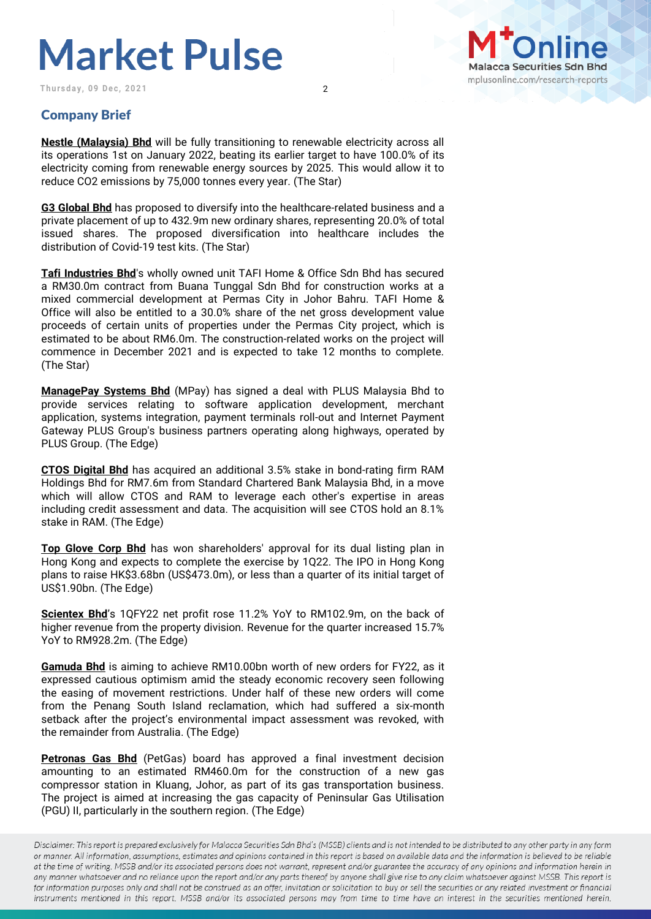Thursday, 09 Dec, 2021 2



### Company Brief

**Nestle (Malaysia) Bhd** will be fully transitioning to renewable electricity across all its operations 1st on January 2022, beating its earlier target to have 100.0% of its electricity coming from renewable energy sources by 2025. This would allow it to reduce CO2 emissions by 75,000 tonnes every year. (The Star)

**G3 Global Bhd** has proposed to diversify into the healthcare-related business and a private placement of up to 432.9m new ordinary shares, representing 20.0% of total issued shares. The proposed diversification into healthcare includes the distribution of Covid-19 test kits. (The Star)

**Tafi Industries Bhd**'s wholly owned unit TAFI Home & Office Sdn Bhd has secured a RM30.0m contract from Buana Tunggal Sdn Bhd for construction works at a mixed commercial development at Permas City in Johor Bahru. TAFI Home & Office will also be entitled to a 30.0% share of the net gross development value proceeds of certain units of properties under the Permas City project, which is estimated to be about RM6.0m. The construction-related works on the project will commence in December 2021 and is expected to take 12 months to complete. (The Star)

**ManagePay Systems Bhd** (MPay) has signed a deal with PLUS Malaysia Bhd to provide services relating to software application development, merchant application, systems integration, payment terminals roll-out and Internet Payment Gateway PLUS Group's business partners operating along highways, operated by PLUS Group. (The Edge)

**CTOS Digital Bhd** has acquired an additional 3.5% stake in bond-rating firm RAM Holdings Bhd for RM7.6m from Standard Chartered Bank Malaysia Bhd, in a move which will allow CTOS and RAM to leverage each other's expertise in areas including credit assessment and data. The acquisition will see CTOS hold an 8.1% stake in RAM. (The Edge)

**Top Glove Corp Bhd** has won shareholders' approval for its dual listing plan in Hong Kong and expects to complete the exercise by 1Q22. The IPO in Hong Kong plans to raise HK\$3.68bn (US\$473.0m), or less than a quarter of its initial target of US\$1.90bn. (The Edge)

**Scientex Bhd**'s 1QFY22 net profit rose 11.2% YoY to RM102.9m, on the back of higher revenue from the property division. Revenue for the quarter increased 15.7% YoY to RM928.2m. (The Edge)

**Gamuda Bhd** is aiming to achieve RM10.00bn worth of new orders for FY22, as it expressed cautious optimism amid the steady economic recovery seen following the easing of movement restrictions. Under half of these new orders will come from the Penang South Island reclamation, which had suffered a six-month setback after the project's environmental impact assessment was revoked, with the remainder from Australia. (The Edge)

**Petronas Gas Bhd** (PetGas) board has approved a final investment decision amounting to an estimated RM460.0m for the construction of a new gas compressor station in Kluang, Johor, as part of its gas transportation business. The project is aimed at increasing the gas capacity of Peninsular Gas Utilisation (PGU) II, particularly in the southern region. (The Edge)

Disclaimer: This report is prepared exclusively for Malacca Securities Sdn Bhd's (MSSB) clients and is not intended to be distributed to any other party in any form or manner. All information, assumptions, estimates and opinions contained in this report is based on available data and the information is believed to be reliable at the time of writing. MSSB and/or its associated persons does not warrant, represent and/or guarantee the accuracy of any opinions and information herein in any manner whatsoever and no reliance upon the report and/or any parts thereof by anyone shall give rise to any claim whatsoever against MSSB. This report is for information purposes only and shall not be construed as an offer, invitation or solicitation to buy or sell the securities or any related investment or financial instruments mentioned in this report. MSSB and/or its associated persons may from time to time have an interest in the securities mentioned herein.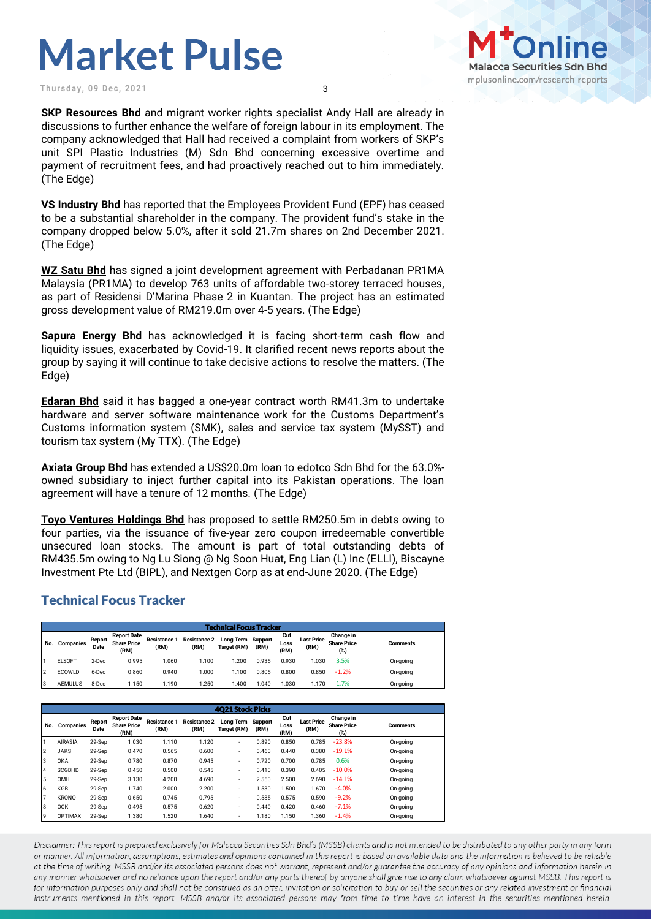**Thursday, 09 Dec, 2021** 3

**SKP Resources Bhd** and migrant worker rights specialist Andy Hall are already in discussions to further enhance the welfare of foreign labour in its employment. The company acknowledged that Hall had received a complaint from workers of SKP's unit SPI Plastic Industries (M) Sdn Bhd concerning excessive overtime and payment of recruitment fees, and had proactively reached out to him immediately. (The Edge)

**VS Industry Bhd** has reported that the Employees Provident Fund (EPF) has ceased to be a substantial shareholder in the company. The provident fund's stake in the company dropped below 5.0%, after it sold 21.7m shares on 2nd December 2021. (The Edge)

**WZ Satu Bhd** has signed a joint development agreement with Perbadanan PR1MA Malaysia (PR1MA) to develop 763 units of affordable two-storey terraced houses, as part of Residensi D'Marina Phase 2 in Kuantan. The project has an estimated gross development value of RM219.0m over 4-5 years. (The Edge)

**Sapura Energy Bhd** has acknowledged it is facing short-term cash flow and liquidity issues, exacerbated by Covid-19. It clarified recent news reports about the group by saying it will continue to take decisive actions to resolve the matters. (The Edge)

**Edaran Bhd** said it has bagged a one-year contract worth RM41.3m to undertake hardware and server software maintenance work for the Customs Department's Customs information system (SMK), sales and service tax system (MySST) and tourism tax system (My TTX). (The Edge)

**Axiata Group Bhd** has extended a US\$20.0m loan to edotco Sdn Bhd for the 63.0% owned subsidiary to inject further capital into its Pakistan operations. The loan agreement will have a tenure of 12 months. (The Edge)

**Toyo Ventures Holdings Bhd** has proposed to settle RM250.5m in debts owing to four parties, via the issuance of five-year zero coupon irredeemable convertible unsecured loan stocks. The amount is part of total outstanding debts of RM435.5m owing to Ng Lu Siong @ Ng Soon Huat, Eng Lian (L) Inc (ELLI), Biscayne Investment Pte Ltd (BIPL), and Nextgen Corp as at end-June 2020. (The Edge)

#### Technical Focus Tracker

| <b>Technical Focus Tracker</b> |                |                |                                                  |                             |                             |                                 |                 |                     |                           |                                        |          |
|--------------------------------|----------------|----------------|--------------------------------------------------|-----------------------------|-----------------------------|---------------------------------|-----------------|---------------------|---------------------------|----------------------------------------|----------|
| No.                            | Companies      | Report<br>Date | <b>Report Date</b><br><b>Share Price</b><br>(RM) | <b>Resistance 1</b><br>(RM) | <b>Resistance 2</b><br>(RM) | <b>Long Term</b><br>Target (RM) | Support<br>(RM) | Cut<br>Loss<br>(RM) | <b>Last Price</b><br>(RM) | Change in<br><b>Share Price</b><br>(%) | Comments |
|                                | <b>ELSOFT</b>  | 2-Dec          | 0.995                                            | 1.060                       | 1.100                       | .200                            | 0.935           | 0.930               | 1.030                     | 3.5%                                   | On-going |
| 12                             | ECOWLD         | 6-Dec          | 0.860                                            | 0.940                       | 000.1                       | .100                            | 0.805           | 0.800               | 0.850                     | $-1.2%$                                | On-going |
| l3                             | <b>AEMULUS</b> | 8-Dec          | 1.150                                            | 1.190                       | 1.250                       | .400                            | .040            | .030                | 1.170                     | 1.7%                                   | On-going |

|                | <b>4021 Stock Picks</b> |                |                                                  |                             |                             |                                  |       |                     |                           |                                        |                 |
|----------------|-------------------------|----------------|--------------------------------------------------|-----------------------------|-----------------------------|----------------------------------|-------|---------------------|---------------------------|----------------------------------------|-----------------|
| No.            | Companies               | Report<br>Date | <b>Report Date</b><br><b>Share Price</b><br>(RM) | <b>Resistance 1</b><br>(RM) | <b>Resistance 2</b><br>(RM) | Long Term Support<br>Target (RM) | (RM)  | Cut<br>Loss<br>(RM) | <b>Last Price</b><br>(RM) | Change in<br><b>Share Price</b><br>(%) | <b>Comments</b> |
|                | <b>AIRASIA</b>          | 29-Sep         | 1.030                                            | 1.110                       | 1.120                       | $\overline{\phantom{a}}$         | 0.890 | 0.850               | 0.785                     | $-23.8%$                               | On-going        |
| $\overline{2}$ | <b>JAKS</b>             | 29-Sep         | 0.470                                            | 0.565                       | 0.600                       | ۰                                | 0.460 | 0.440               | 0.380                     | $-19.1%$                               | On-going        |
| 3              | <b>OKA</b>              | 29-Sep         | 0.780                                            | 0.870                       | 0.945                       | ۰                                | 0.720 | 0.700               | 0.785                     | 0.6%                                   | On-going        |
| 14             | <b>SCGBHD</b>           | 29-Sep         | 0.450                                            | 0.500                       | 0.545                       | ۰                                | 0.410 | 0.390               | 0.405                     | $-10.0%$                               | On-going        |
| 15             | OMH                     | 29-Sep         | 3.130                                            | 4.200                       | 4.690                       | ۰                                | 2.550 | 2.500               | 2.690                     | $-14.1%$                               | On-going        |
| 6              | KGB                     | 29-Sep         | 1.740                                            | 2.000                       | 2.200                       | $\overline{\phantom{a}}$         | .530  | 1.500               | 1.670                     | $-4.0%$                                | On-going        |
| 17             | <b>KRONO</b>            | 29-Sep         | 0.650                                            | 0.745                       | 0.795                       | ۰                                | 0.585 | 0.575               | 0.590                     | $-9.2%$                                | On-going        |
| 8              | <b>OCK</b>              | 29-Sep         | 0.495                                            | 0.575                       | 0.620                       | ۰                                | 0.440 | 0.420               | 0.460                     | $-7.1%$                                | On-going        |
| 9              | <b>OPTIMAX</b>          | 29-Sep         | 1.380                                            | 1.520                       | 1.640                       | ۰                                | 1.180 | 1.150               | 1.360                     | $-1.4%$                                | On-going        |

Disclaimer: This report is prepared exclusively for Malacca Securities Sdn Bhd's (MSSB) clients and is not intended to be distributed to any other party in any form or manner. All information, assumptions, estimates and opinions contained in this report is based on available data and the information is believed to be reliable at the time of writing. MSSB and/or its associated persons does not warrant, represent and/or guarantee the accuracy of any opinions and information herein in any manner whatsoever and no reliance upon the report and/or any parts thereof by anyone shall give rise to any claim whatsoever against MSSB. This report is for information purposes only and shall not be construed as an offer, invitation or solicitation to buy or sell the securities or any related investment or financial instruments mentioned in this report. MSSB and/or its associated persons may from time to time have an interest in the securities mentioned herein.